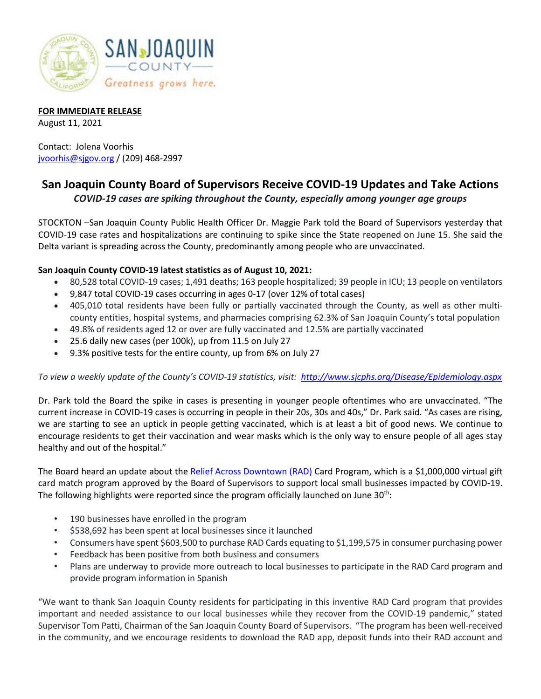

**FOR IMMEDIATE RELEASE** August 11, 2021

Contact: Jolena Voorhis [jvoorhis@sjgov.org](mailto:jvoorhis@sjgov.org) / (209) 468-2997

## **San Joaquin County Board of Supervisors Receive COVID-19 Updates and Take Actions**

*COVID-19 cases are spiking throughout the County, especially among younger age groups*

STOCKTON –San Joaquin County Public Health Officer Dr. Maggie Park told the Board of Supervisors yesterday that COVID-19 case rates and hospitalizations are continuing to spike since the State reopened on June 15. She said the Delta variant is spreading across the County, predominantly among people who are unvaccinated.

## **San Joaquin County COVID-19 latest statistics as of August 10, 2021:**

- 80,528 total COVID-19 cases; 1,491 deaths; 163 people hospitalized; 39 people in ICU; 13 people on ventilators
- 9,847 total COVID-19 cases occurring in ages 0-17 (over 12% of total cases)
- 405,010 total residents have been fully or partially vaccinated through the County, as well as other multicounty entities, hospital systems, and pharmacies comprising 62.3% of San Joaquin County's total population
- 49.8% of residents aged 12 or over are fully vaccinated and 12.5% are partially vaccinated
- 25.6 daily new cases (per 100k), up from 11.5 on July 27
- 9.3% positive tests for the entire county, up from 6% on July 27

*To view a weekly update of the County's COVID-19 statistics, visit:<http://www.sjcphs.org/Disease/Epidemiology.aspx>*

Dr. Park told the Board the spike in cases is presenting in younger people oftentimes who are unvaccinated. "The current increase in COVID-19 cases is occurring in people in their 20s, 30s and 40s," Dr. Park said. "As cases are rising, we are starting to see an uptick in people getting vaccinated, which is at least a bit of good news. We continue to encourage residents to get their vaccination and wear masks which is the only way to ensure people of all ages stay healthy and out of the hospital."

The Board heard an update about the [Relief Across Downtown \(RAD\)](http://www.theradcard.com/) Card Program, which is a \$1,000,000 virtual gift card match program approved by the Board of Supervisors to support local small businesses impacted by COVID-19. The following highlights were reported since the program officially launched on June  $30<sup>th</sup>$ :

- 190 businesses have enrolled in the program
- \$538,692 has been spent at local businesses since it launched
- Consumers have spent \$603,500 to purchase RAD Cards equating to \$1,199,575 in consumer purchasing power
- Feedback has been positive from both business and consumers
- Plans are underway to provide more outreach to local businesses to participate in the RAD Card program and provide program information in Spanish

"We want to thank San Joaquin County residents for participating in this inventive RAD Card program that provides important and needed assistance to our local businesses while they recover from the COVID-19 pandemic," stated Supervisor Tom Patti, Chairman of the San Joaquin County Board of Supervisors. "The program has been well-received in the community, and we encourage residents to download the RAD app, deposit funds into their RAD account and